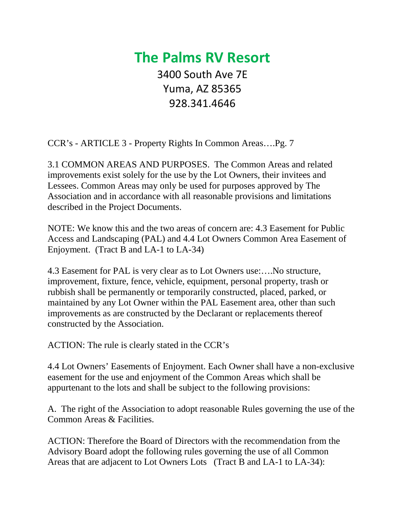## **The Palms RV Resort** 3400 South Ave 7E Yuma, AZ 85365 928.341.4646

CCR's - ARTICLE 3 - Property Rights In Common Areas….Pg. 7

3.1 COMMON AREAS AND PURPOSES. The Common Areas and related improvements exist solely for the use by the Lot Owners, their invitees and Lessees. Common Areas may only be used for purposes approved by The Association and in accordance with all reasonable provisions and limitations described in the Project Documents.

NOTE: We know this and the two areas of concern are: 4.3 Easement for Public Access and Landscaping (PAL) and 4.4 Lot Owners Common Area Easement of Enjoyment. (Tract B and LA-1 to LA-34)

4.3 Easement for PAL is very clear as to Lot Owners use:….No structure, improvement, fixture, fence, vehicle, equipment, personal property, trash or rubbish shall be permanently or temporarily constructed, placed, parked, or maintained by any Lot Owner within the PAL Easement area, other than such improvements as are constructed by the Declarant or replacements thereof constructed by the Association.

ACTION: The rule is clearly stated in the CCR's

4.4 Lot Owners' Easements of Enjoyment. Each Owner shall have a non-exclusive easement for the use and enjoyment of the Common Areas which shall be appurtenant to the lots and shall be subject to the following provisions:

A. The right of the Association to adopt reasonable Rules governing the use of the Common Areas & Facilities.

ACTION: Therefore the Board of Directors with the recommendation from the Advisory Board adopt the following rules governing the use of all Common Areas that are adjacent to Lot Owners Lots (Tract B and LA-1 to LA-34):